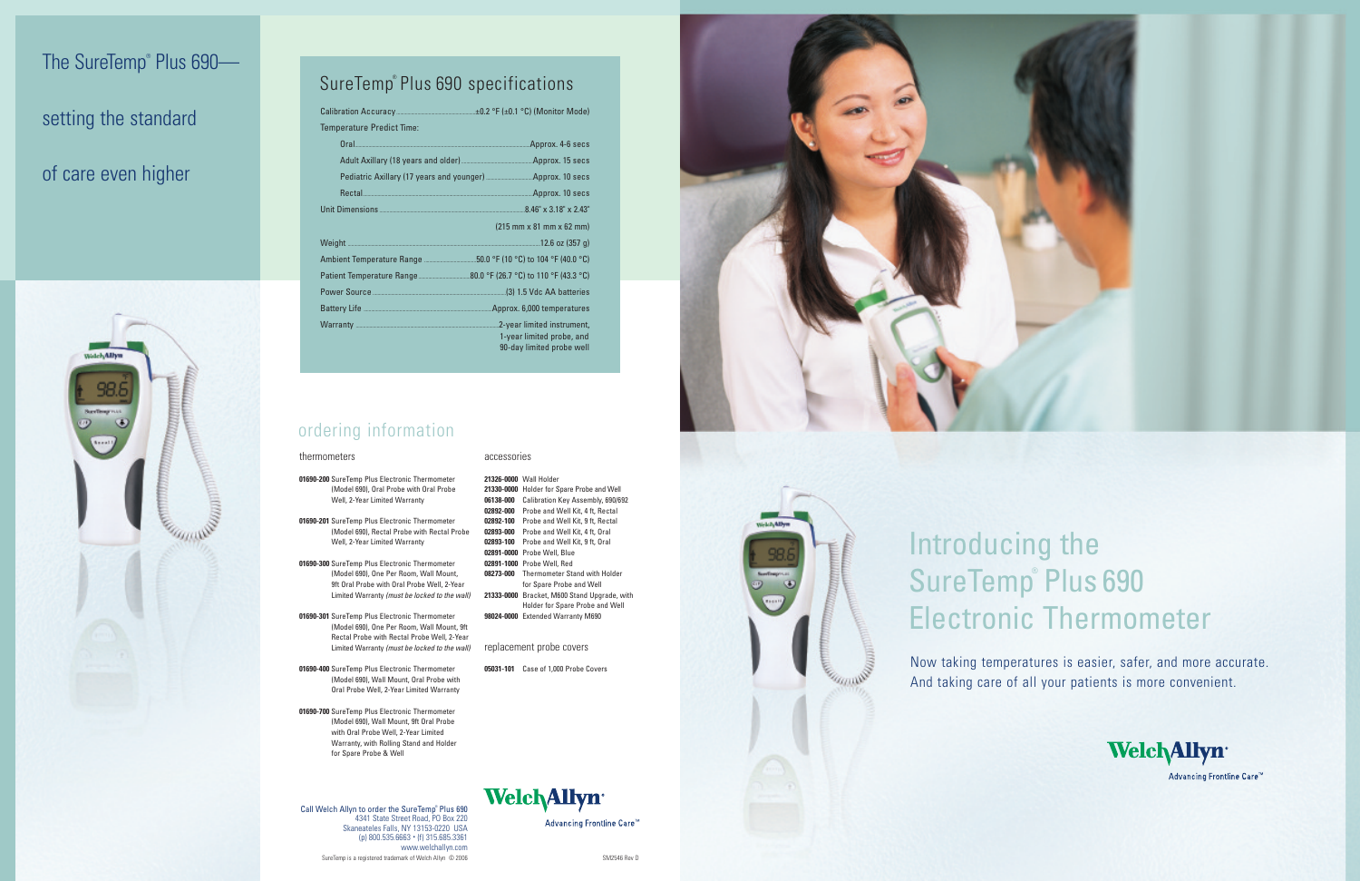### ordering information

Call Welch Allyn to order the SureTemp® Plus 690 4341 State Street Road, PO Box 220 Skaneateles Falls, NY 13153-0220 USA (p) 800.535.6663 • (f) 315.685.3361 www.welchallyn.com SureTemp is a registered trademark of Welch Allyn © 2006 SM2546 Rev D

#### thermometers

**01690-200** SureTemp Plus Electronic Thermometer (Model 690), Oral Probe with Oral Probe Well, 2-Year Limited Warranty

**01690-201** SureTemp Plus Electronic Thermometer (Model 690), Rectal Probe with Rectal Probe Well, 2-Year Limited Warranty

**01690-300** SureTemp Plus Electronic Thermometer (Model 690), One Per Room, Wall Mount, 9ft Oral Probe with Oral Probe Well, 2-Year Limited Warranty *(must be locked to the wall)*

**01690-301** SureTemp Plus Electronic Thermometer (Model 690), One Per Room, Wall Mount, 9ft Rectal Probe with Rectal Probe Well, 2-Year Limited Warranty *(must be locked to the wall)*

**01690-400** SureTemp Plus Electronic Thermometer (Model 690), Wall Mount, Oral Probe with Oral Probe Well, 2-Year Limited Warranty

**01690-700** SureTemp Plus Electronic Thermometer (Model 690), Wall Mount, 9ft Oral Probe with Oral Probe Well, 2-Year Limited Warranty, with Rolling Stand and Holder for Spare Probe & Well

#### accessories

**21326-0000** Wall Holder

**21330-0000** Holder for Spare Probe and Well **06138-000** Calibration Key Assembly, 690/692 **02892-000** Probe and Well Kit, 4 ft, Rectal **02892-100** Probe and Well Kit, 9 ft, Rectal **02893-000** Probe and Well Kit, 4 ft, Oral **02893-100** Probe and Well Kit, 9 ft, Oral **02891-0000** Probe Well, Blue **02891-1000** Probe Well, Red **08273-000** Thermometer Stand with Holder for Spare Probe and Well

**21333-0000** Bracket, M600 Stand Upgrade, with Holder for Spare Probe and Well **98024-0000** Extended Warranty M690

replacement probe covers

**05031-101** Case of 1,000 Probe Covers





## SureTemp® Plus 690 specifications

| Temperature Predict Time:   |                                                                    |
|-----------------------------|--------------------------------------------------------------------|
| Oral <u>2008.</u> 4-6 secs. |                                                                    |
|                             |                                                                    |
|                             |                                                                    |
|                             |                                                                    |
|                             |                                                                    |
|                             | $(215 \, \text{mm} \times 81 \, \text{mm} \times 62 \, \text{mm})$ |
|                             |                                                                    |
|                             |                                                                    |
|                             |                                                                    |
|                             |                                                                    |
|                             |                                                                    |
|                             | 1-year limited probe, and<br>90-day limited probe well             |

## The SureTemp® Plus 690—

## setting the standard

## of care even higher



# Introducing the SureTemp® Plus 690 Electronic Thermometer

Now taking temperatures is easier, safer, and more accurate. And taking care of all your patients is more convenient.



Advancing Frontline Care™



Advancing Frontline Care<sup>™</sup>